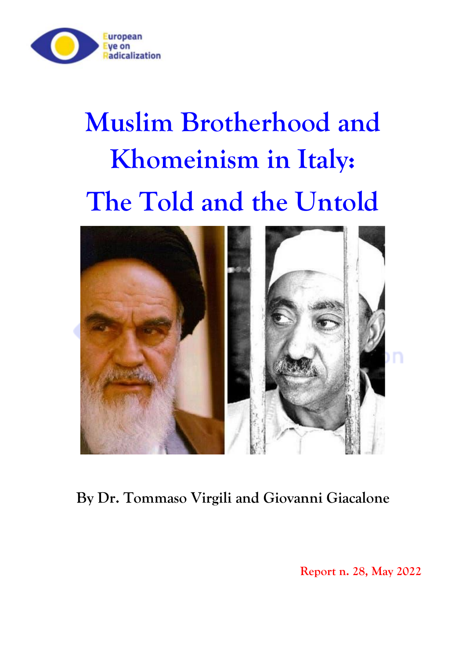

# **Muslim Brotherhood and Khomeinism in Italy: The Told and the Untold**



**By Dr. Tommaso Virgili and Giovanni Giacalone**

**Report n. 28, May 2022**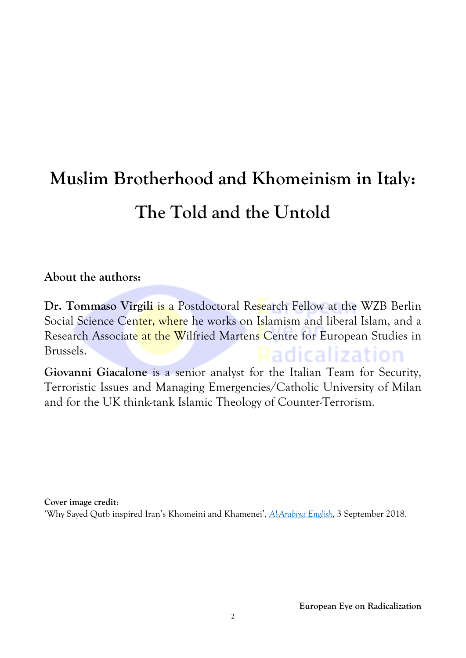# **Muslim Brotherhood and Khomeinism in Italy: The Told and the Untold**

#### **About the authors:**

**Dr. Tommaso Virgili** is a Postdoctoral Research Fellow at the WZB Berlin Social Science Center, where he works on Islamism and liberal Islam, and a Research Associate at the Wilfried Martens Centre for European Studies in Brussels. Radicalization

**Giovanni Giacalone** is a senior analyst for the Italian Team for Security, Terroristic Issues and Managing Emergencies/Catholic University of Milan and for the UK think-tank Islamic Theology of Counter-Terrorism.

**Cover image credit**: 'Why Sayed Qutb inspired Iran's Khomeini and Khamenei', *[Al-Arabiya](https://english.alarabiya.net/features/2018/09/03/Why-Sayed-Qutb-inspired-Iran-s-Khomeini-and-Khamenei) English*, 3 September 2018.

**European Eye on Radicalization**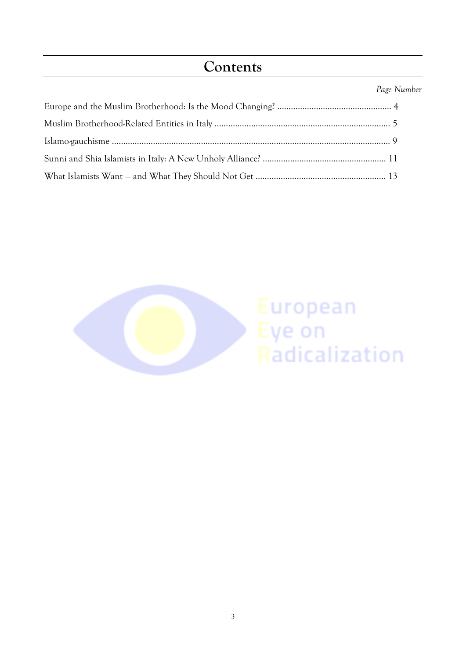# **Contents**

#### *Page Number*

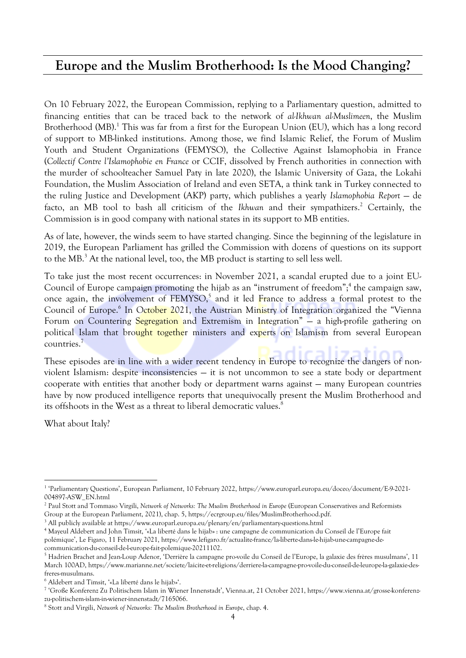#### **Europe and the Muslim Brotherhood: Is the Mood Changing?**

On 10 February 2022, the European Commission, replying to a Parliamentary question, admitted to financing entities that can be traced back to the network of *al-Ikhwan al-Muslimeen*, the Muslim Brotherhood (MB).<sup>1</sup> This was far from a first for the European Union (EU), which has a long record of support to MB-linked institutions. Among those, we find Islamic Relief, the Forum of Muslim Youth and Student Organizations (FEMYSO), the Collective Against Islamophobia in France (*Collectif Contre l'Islamophobie en France* or CCIF, dissolved by French authorities in connection with the murder of schoolteacher Samuel Paty in late 2020), the Islamic University of Gaza, the Lokahi Foundation, the Muslim Association of Ireland and even SETA, a think tank in Turkey connected to the ruling Justice and Development (AKP) party, which publishes a yearly *Islamophobia Report* — de facto, an MB tool to bash all criticism of the *Ikhwan* and their sympathizers. <sup>2</sup> Certainly, the Commission is in good company with national states in its support to MB entities.

As of late, however, the winds seem to have started changing. Since the beginning of the legislature in 2019, the European Parliament has grilled the Commission with dozens of questions on its support to the MB. <sup>3</sup> At the national level, too, the MB product is starting to sell less well.

To take just the most recent occurrences: in November 2021, a scandal erupted due to a joint EU-Council of Europe campaign promoting the hijab as an "instrument of freedom"; 4 the campaign saw, once again, the involvement of FEMYSO,<sup>5</sup> and it led France to address a formal protest to the Council of Europe.<sup>6</sup> In October 2021, the Austrian Ministry of Integration organized the "Vienna Forum on Countering Segregation and Extremism in Integration" – a high-profile gathering on political Islam that brought together ministers and experts on Islamism from several European countries.<sup>7</sup>

These episodes are in line with a wider recent tendency in Europe to recognize the dangers of nonviolent Islamism: despite inconsistencies — it is not uncommon to see a state body or department cooperate with entities that another body or department warns against — many European countries have by now produced intelligence reports that unequivocally present the Muslim Brotherhood and its offshoots in the West as a threat to liberal democratic values.<sup>8</sup>

What about Italy?

<sup>1</sup> 'Parliamentary Questions', European Parliament, 10 February 2022, https://www.europarl.europa.eu/doceo/document/E-9-2021- 004897-ASW\_EN.html

<sup>2</sup> Paul Stott and Tommaso Virgili, *Network of Networks: The Muslim Brotherhood in Europe* (European Conservatives and Reformists Group at the European Parliament, 2021), chap. 5, https://ecrgroup.eu/files/MuslimBrotherhood.pdf.

<sup>&</sup>lt;sup>3</sup> All publicly available at https://www.europarl.europa.eu/plenary/en/parliamentary-questions.html

<sup>4</sup> Mayeul Aldebert and John Timsit, '«La liberté dans le hijab» : une campagne de communication du Conseil de l'Europe fait polémique', Le Figaro, 11 February 2021, https://www.lefigaro.fr/actualite-france/la-liberte-dans-le-hijab-une-campagne-decommunication-du-conseil-de-l-europe-fait-polemique-20211102.

<sup>5</sup> Hadrien Brachet and Jean-Loup Adenor, 'Derrière la campagne pro-voile du Conseil de l'Europe, la galaxie des frères musulmans', 11 March 100AD, https://www.marianne.net/societe/laicite-et-religions/derriere-la-campagne-pro-voile-du-conseil-de-leurope-la-galaxie-desfreres-musulmans.

<sup>6</sup> Aldebert and Timsit, '«La liberté dans le hijab»'.

<sup>7</sup> 'Große Konferenz Zu Politischem Islam in Wiener Innenstadt', Vienna.at, 21 October 2021, https://www.vienna.at/grosse-konferenzzu-politischem-islam-in-wiener-innenstadt/7165066.

<sup>8</sup> Stott and Virgili, *Network of Networks: The Muslim Brotherhood in Europe*, chap. 4.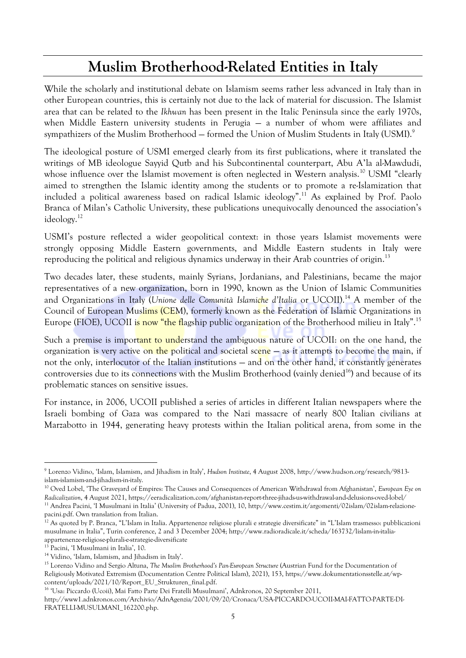# **Muslim Brotherhood-Related Entities in Italy**

While the scholarly and institutional debate on Islamism seems rather less advanced in Italy than in other European countries, this is certainly not due to the lack of material for discussion. The Islamist area that can be related to the *Ikhwan* has been present in the Italic Peninsula since the early 1970s, when Middle Eastern university students in Perugia — a number of whom were affiliates and sympathizers of the Muslim Brotherhood – formed the Union of Muslim Students in Italy (USMI).<sup>9</sup>

The ideological posture of USMI emerged clearly from its first publications, where it translated the writings of MB ideologue Sayyid Qutb and his Subcontinental counterpart, Abu A'la al-Mawdudi, whose influence over the Islamist movement is often neglected in Western analysis.<sup>10</sup> USMI "clearly aimed to strengthen the Islamic identity among the students or to promote a re-Islamization that included a political awareness based on radical Islamic ideology".<sup>11</sup> As explained by Prof. Paolo Branca of Milan's Catholic University, these publications unequivocally denounced the association's ideology.<sup>12</sup>

USMI's posture reflected a wider geopolitical context: in those years Islamist movements were strongly opposing Middle Eastern governments, and Middle Eastern students in Italy were reproducing the political and religious dynamics underway in their Arab countries of origin.<sup>13</sup>

Two decades later, these students, mainly Syrians, Jordanians, and Palestinians, became the major representatives of a new organization, born in 1990, known as the Union of Islamic Communities and Organizations in Italy (*Unione delle Comunità Islamiche d'Italia* or UCOII). <sup>14</sup> A member of the Council of European Muslims (CEM), formerly known as the Federation of Islamic Organizations in Europe (FIOE), UCOII is now "the flagship public organization of the Brotherhood milieu in Italy".<sup>15</sup>

Such a premise is important to understand the ambiguous nature of UCOII: on the one hand, the organization is very active on the political and societal scene – as it attempts to become the main, if not the only, interlocutor of the Italian institutions — and on the other hand, it constantly generates controversies due to its connections with the Muslim Brotherhood (vainly denied<sup>16</sup>) and because of its problematic stances on sensitive issues.

For instance, in 2006, UCOII published a series of articles in different Italian newspapers where the Israeli bombing of Gaza was compared to the Nazi massacre of nearly 800 Italian civilians at Marzabotto in 1944, generating heavy protests within the Italian political arena, from some in the

<sup>9</sup> Lorenzo Vidino, 'Islam, Islamism, and Jihadism in Italy', *Hudson Institute*, 4 August 2008, http://www.hudson.org/research/9813 islam-islamism-and-jihadism-in-italy.

<sup>10</sup> Oved Lobel, 'The Graveyard of Empires: The Causes and Consequences of American Withdrawal from Afghanistan', *European Eye on Radicalization*, 4 August 2021, https://eeradicalization.com/afghanistan-report-three-jihads-us-withdrawal-and-delusions-oved-lobel/ <sup>11</sup> Andrea Pacini, 'I Musulmani in Italia' (University of Padua, 2001), 10, http://www.cestim.it/argomenti/02islam/02islam-relazione-

pacini.pdf. Own translation from Italian.

 $12$  As quoted by P. Branca, "L'Islam in Italia. Appartenenze religiose plurali e strategie diversificate" in "L'Islam trasmesso: pubblicazioni musulmane in Italia", Turin conference, 2 and 3 December 2004; http://www.radioradicale.it/scheda/163732/lislam-in-italiaappartenenze-religiose-plurali-e-strategie-diversificate

<sup>13</sup> Pacini, 'I Musulmani in Italia', 10.

<sup>14</sup> Vidino, 'Islam, Islamism, and Jihadism in Italy'.

<sup>15</sup> Lorenzo Vidino and Sergio Altuna, *The Muslim Brotherhood's Pan-European Structure* (Austrian Fund for the Documentation of Religiously Motivated Extremism (Documentation Centre Political Islam), 2021), 153, https://www.dokumentationsstelle.at/wpcontent/uploads/2021/10/Report\_EU\_Strukturen\_final.pdf.

<sup>&</sup>lt;sup>16</sup> 'Usa: Piccardo (Ucoii), Mai Fatto Parte Dei Fratelli Musulmani', Adnkronos, 20 September 2011,

http://www1.adnkronos.com/Archivio/AdnAgenzia/2001/09/20/Cronaca/USA-PICCARDO-UCOII-MAI-FATTO-PARTE-DI-FRATELLI-MUSULMANI\_162200.php.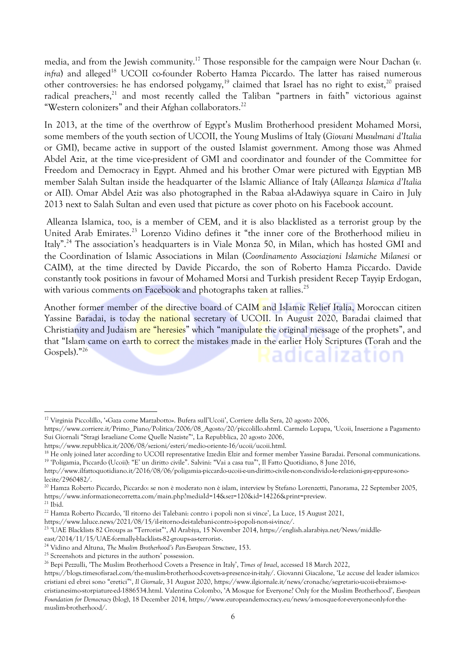media, and from the Jewish community.<sup>17</sup> Those responsible for the campaign were Nour Dachan (*v.* infra) and alleged<sup>18</sup> UCOII co-founder Roberto Hamza Piccardo. The latter has raised numerous other controversies: he has endorsed polygamy,<sup>19</sup> claimed that Israel has no right to exist,<sup>20</sup> praised radical preachers,<sup>21</sup> and most recently called the Taliban "partners in faith" victorious against "Western colonizers" and their Afghan collaborators.<sup>22</sup>

In 2013, at the time of the overthrow of Egypt's Muslim Brotherhood president Mohamed Morsi, some members of the youth section of UCOII, the Young Muslims of Italy (*Giovani Musulmani d'Italia* or GMI), became active in support of the ousted Islamist government. Among those was Ahmed Abdel Aziz, at the time vice-president of GMI and coordinator and founder of the Committee for Freedom and Democracy in Egypt. Ahmed and his brother Omar were pictured with Egyptian MB member Salah Sultan inside the headquarter of the Islamic Alliance of Italy (*Alleanza Islamica d'Italia* or AII). Omar Abdel Aziz was also photographed in the Rabaa al-Adawiyya square in Cairo in July 2013 next to Salah Sultan and even used that picture as cover photo on his Facebook account.

Alleanza Islamica, too, is a member of CEM, and it is also blacklisted as a terrorist group by the United Arab Emirates.<sup>23</sup> Lorenzo Vidino defines it "the inner core of the Brotherhood milieu in Italy". <sup>24</sup> The association's headquarters is in Viale Monza 50, in Milan, which has hosted GMI and the Coordination of Islamic Associations in Milan (*Coordinamento Associazioni Islamiche Milanesi* or CAIM), at the time directed by Davide Piccardo, the son of Roberto Hamza Piccardo. Davide constantly took positions in favour of Mohamed Morsi and Turkish president Recep Tayyip Erdogan, with various comments on Facebook and photographs taken at rallies.<sup>25</sup>

Another former member of the directive board of CAIM and Islamic Relief Italia, Moroccan citizen Yassine Baradai, is today the national secretary of UCOII. In August 2020, Baradai claimed that Christianity and Judaism are "heresies" which "manipulate the original message of the prophets", and that "Islam came on earth to correct the mistakes made in the earlier Holy Scriptures (Torah and the Gospels)." 26 Radicalization

<sup>17</sup> Virginia Piccolillo, '«Gaza come Marzabotto». Bufera sull'Ucoii', Corriere della Sera, 20 agosto 2006,

https://www.corriere.it/Primo\_Piano/Politica/2006/08\_Agosto/20/piccolillo.shtml. Carmelo Lopapa, 'Ucoii, Inserzione a Pagamento Sui Giornali "Stragi Israeliane Come Quelle Naziste"', La Repubblica, 20 agosto 2006,

https://www.repubblica.it/2006/08/sezioni/esteri/medio-oriente-16/ucoii/ucoii.html.

<sup>&</sup>lt;sup>18</sup> He only joined later according to UCOII representative Izzedin Elzir and former member Yassine Baradai. Personal communications. 19 'Poligamia, Piccardo (Ucoii): "E' un diritto civile". Salvini: "Vai a casa tua"', Il Fatto Quotidiano, 8 June 2016,

http://www.ilfattoquotidiano.it/2016/08/06/poligamia-piccardo-ucoii-e-un-diritto-civile-non-condivido-le-relazioni-gay-eppure-sonolecite/2960482/.

<sup>20</sup> Hamza Roberto Piccardo, Piccardo: se non è moderato non è islam, interview by Stefano Lorenzetti, Panorama, 22 September 2005, https://www.informazionecorretta.com/main.php?mediaId=14&sez=120&id=14226&print=preview.

 $21$  Ibid.

<sup>22</sup> Hamza Roberto Piccardo, 'Il ritorno dei Talebani: contro i popoli non si vince', La Luce, 15 August 2021,

https://www.laluce.news/2021/08/15/il-ritorno-dei-talebani-contro-i-popoli-non-si-vince/.

<sup>23</sup> 'UAE Blacklists 82 Groups as "Terrorist"', Al Arabiya, 15 November 2014, https://english.alarabiya.net/News/middleeast/2014/11/15/UAE-formally-blacklists-82-groups-as-terrorist-.

<sup>24</sup> Vidino and Altuna, *The Muslim Brotherhood's Pan-European Structure*, 153.

<sup>&</sup>lt;sup>25</sup> Screenshots and pictures in the authors' possession.

<sup>26</sup> Bepi Pezzulli, 'The Muslim Brotherhood Covets a Presence in Italy', *Times of Israel*, accessed 18 March 2022,

https://blogs.timesofisrael.com/the-muslim-brotherhood-covets-a-presence-in-italy/. Giovanni Giacalone, 'Le accuse del leader islamico: cristiani ed ebrei sono "eretici"', *Il Giornale*, 31 August 2020, https://www.ilgiornale.it/news/cronache/segretario-ucoii-ebraismo-ecristianesimo-storpiature-ed-1886534.html. Valentina Colombo, 'A Mosque for Everyone? Only for the Muslim Brotherhood', *European Foundation for Democracy* (blog), 18 December 2014, https://www.europeandemocracy.eu/news/a-mosque-for-everyone-only-for-themuslim-brotherhood/.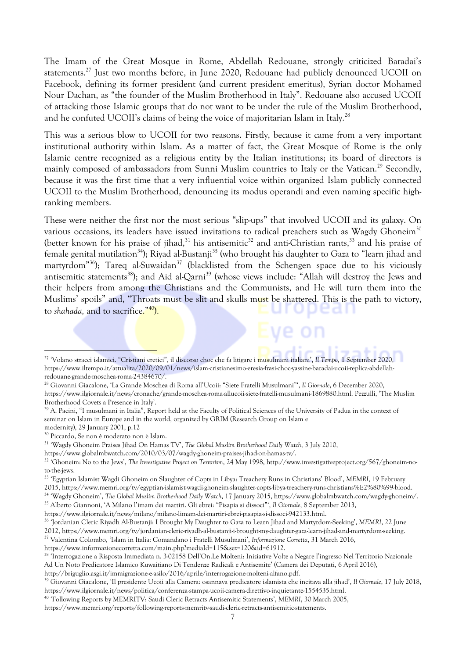The Imam of the Great Mosque in Rome, Abdellah Redouane, strongly criticized Baradai's statements.<sup>27</sup> Just two months before, in June 2020, Redouane had publicly denounced UCOII on Facebook, defining its former president (and current president emeritus), Syrian doctor Mohamed Nour Dachan, as "the founder of the Muslim Brotherhood in Italy". Redouane also accused UCOII of attacking those Islamic groups that do not want to be under the rule of the Muslim Brotherhood, and he confuted UCOII's claims of being the voice of majoritarian Islam in Italy.<sup>28</sup>

This was a serious blow to UCOII for two reasons. Firstly, because it came from a very important institutional authority within Islam. As a matter of fact, the Great Mosque of Rome is the only Islamic centre recognized as a religious entity by the Italian institutions; its board of directors is mainly composed of ambassadors from Sunni Muslim countries to Italy or the Vatican.<sup>29</sup> Secondly, because it was the first time that a very influential voice within organized Islam publicly connected UCOII to the Muslim Brotherhood, denouncing its modus operandi and even naming specific highranking members.

These were neither the first nor the most serious "slip-ups" that involved UCOII and its galaxy. On various occasions, its leaders have issued invitations to radical preachers such as Wagdy Ghoneim<sup>30</sup> (better known for his praise of jihad,<sup>31</sup> his antisemitic<sup>32</sup> and anti-Christian rants,<sup>33</sup> and his praise of female genital mutilation<sup>34</sup>); Riyad al-Bustanji<sup>35</sup> (who brought his daughter to Gaza to "learn jihad and martyrdom<sup>"36</sup>); Tareq al-Suwaidan<sup>37</sup> (blacklisted from the Schengen space due to his viciously antisemitic statements<sup>38</sup>); and Aid al-Qarni<sup>39</sup> (whose views include: "Allah will destroy the Jews and their helpers from among the Christians and the Communists, and He will turn them into the Muslims' spoils" and, "Throats must be slit and skulls must be shattered. This is the path to victory, to *shahada,* and to sacrifice." <sup>40</sup>).

- <sup>28</sup> Giovanni Giacalone, 'La Grande Moschea di Roma all'Ucoii: "Siete Fratelli Musulmani"', *Il Giornale*, 6 December 2020, https://www.ilgiornale.it/news/cronache/grande-moschea-roma-allucoii-siete-fratelli-musulmani-1869880.html. Pezzulli, 'The Muslim
- Brotherhood Covets a Presence in Italy'.  $^{29}$  A. Pacini, "I musulmani in Italia", Report held at the Faculty of Political Sciences of the University of Padua in the context of seminar on Islam in Europe and in the world, organized by GRIM (Research Group on Islam e

<sup>27</sup> 'Volano stracci islamici. "Cristiani eretici", il discorso choc che fa litigare i musulmani italiani', *Il Tempo*, 1 September 2020, https://www.iltempo.it/attualita/2020/09/01/news/islam-cristianesimo-eresia-frasi-choc-yassine-baradai-ucoii-replica-abdellahredouane-grande-moschea-roma-24384670/.

modernity), 29 January 2001, p.12

<sup>30</sup> Piccardo, Se non è moderato non è Islam.

<sup>31</sup> 'Wagdy Ghoneim Praises Jihad On Hamas TV', *The Global Muslim Brotherhood Daily Watch*, 3 July 2010,

https://www.globalmbwatch.com/2010/03/07/wagdy-ghoneim-praises-jihad-on-hamas-tv/.

<sup>32</sup> 'Ghoneim: No to the Jews', *The Investigative Project on Terrorism*, 24 May 1998, http://www.investigativeproject.org/567/ghoneim-noto-the-jews.

<sup>33</sup> 'Egyptian Islamist Wagdi Ghoneim on Slaughter of Copts in Libya: Treachery Runs in Christians' Blood', *MEMRI*, 19 February 2015, https://www.memri.org/tv/egyptian-islamist-wagdi-ghoneim-slaughter-copts-libya-treachery-runs-christians%E2%80%99-blood.

<sup>34</sup> 'Wagdy Ghoneim', *The Global Muslim Brotherhood Daily Watch*, 17 January 2015, https://www.globalmbwatch.com/wagdy-ghoneim/.

<sup>35</sup> Alberto Giannoni, 'A Milano l'imam dei martiri. Gli ebrei: "Pisapia si dissoci"', *Il Giornale*, 8 September 2013,

https://www.ilgiornale.it/news/milano/milano-limam-dei-martiri-ebrei-pisapia-si-dissoci-942133.html.

<sup>36</sup> 'Jordanian Cleric Riyadh Al-Bustanji: I Brought My Daughter to Gaza to Learn Jihad and Martyrdom-Seeking', *MEMRI*, 22 June

<sup>2012,</sup> https://www.memri.org/tv/jordanian-cleric-riyadh-al-bustanji-i-brought-my-daughter-gaza-learn-jihad-and-martyrdom-seeking.

<sup>37</sup> Valentina Colombo, 'Islam in Italia: Comandano i Fratelli Musulmani', *Informazione Corretta*, 31 March 2016,

https://www.informazionecorretta.com/main.php?mediaId=115&sez=120&id=61912.

<sup>38</sup> 'Interrogazione a Risposta Immediata n. 3-02158 Dell'On.Le Molteni: Iniziative Volte a Negare l'ingresso Nel Territorio Nazionale Ad Un Noto Predicatore Islamico Kuwaitiano Di Tendenze Radicali e Antisemite' (Camera dei Deputati, 6 April 2016),

http://briguglio.asgi.it/immigrazione-e-asilo/2016/aprile/interrogazione-molteni-alfano.pdf.

<sup>39</sup> Giovanni Giacalone, 'Il presidente Ucoii alla Camera: osannava predicatore islamista che incitava alla jihad', *Il Giornale*, 17 July 2018, https://www.ilgiornale.it/news/politica/conferenza-stampa-ucoii-camera-direttivo-inquietante-1554535.html.

<sup>40</sup> 'Following Reports by MEMRITV: Saudi Cleric Retracts Antisemitic Statements', *MEMRI*, 30 March 2005,

https://www.memri.org/reports/following-reports-memritv-saudi-cleric-retracts-antisemitic-statements.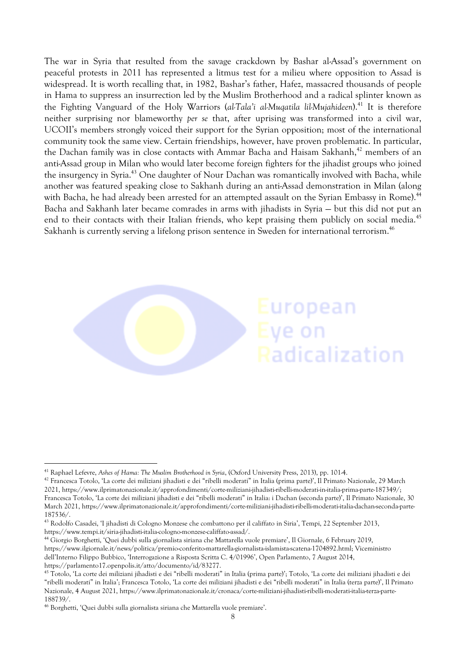The war in Syria that resulted from the savage crackdown by Bashar al-Assad's government on peaceful protests in 2011 has represented a litmus test for a milieu where opposition to Assad is widespread. It is worth recalling that, in 1982, Bashar's father, Hafez, massacred thousands of people in Hama to suppress an insurrection led by the Muslim Brotherhood and a radical splinter known as the Fighting Vanguard of the Holy Warriors (*al-Tala'i al-Muqatila lil-Mujahideen*).<sup>41</sup> It is therefore neither surprising nor blameworthy *per se* that, after uprising was transformed into a civil war, UCOII's members strongly voiced their support for the Syrian opposition; most of the international community took the same view. Certain friendships, however, have proven problematic. In particular, the Dachan family was in close contacts with Ammar Bacha and Haisam Sakhanh,<sup>42</sup> members of an anti-Assad group in Milan who would later become foreign fighters for the jihadist groups who joined the insurgency in Syria.<sup>43</sup> One daughter of Nour Dachan was romantically involved with Bacha, while another was featured speaking close to Sakhanh during an anti-Assad demonstration in Milan (along with Bacha, he had already been arrested for an attempted assault on the Syrian Embassy in Rome).<sup>44</sup> Bacha and Sakhanh later became comrades in arms with jihadists in Syria — but this did not put an end to their contacts with their Italian friends, who kept praising them publicly on social media.<sup>45</sup> Sakhanh is currently serving a lifelong prison sentence in Sweden for international terrorism.<sup>46</sup>



<sup>41</sup> Raphael Lefevre, *Ashes of Hama: The Muslim Brotherhood in Syria*, (Oxford University Press, 2013), pp. 101-4.

<sup>42</sup> Francesca Totolo, 'La corte dei miliziani jihadisti e dei "ribelli moderati" in Italia (prima parte)', Il Primato Nazionale, 29 March 2021, https://www.ilprimatonazionale.it/approfondimenti/corte-miliziani-jihadisti-ribelli-moderati-in-italia-prima-parte-187349/; Francesca Totolo, 'La corte dei miliziani jihadisti e dei "ribelli moderati" in Italia: i Dachan (seconda parte)', Il Primato Nazionale, 30 March 2021, https://www.ilprimatonazionale.it/approfondimenti/corte-miliziani-jihadisti-ribelli-moderati-italia-dachan-seconda-parte-187536/.

<sup>43</sup> Rodolfo Casadei, 'I jihadisti di Cologno Monzese che combattono per il califfato in Siria', Tempi, 22 September 2013, https://www.tempi.it/siria-jihadisti-italia-cologno-monzese-califfato-assad/.

<sup>44</sup> Giorgio Borghetti, 'Quei dubbi sulla giornalista siriana che Mattarella vuole premiare', Il Giornale, 6 February 2019, https://www.ilgiornale.it/news/politica/premio-conferito-mattarella-giornalista-islamista-scatena-1704892.html; Viceministro dell'Interno Filippo Bubbico, 'Interrogazione a Risposta Scritta C. 4/01996', Open Parlamento, 7 August 2014, https://parlamento17.openpolis.it/atto/documento/id/83277.

<sup>&</sup>lt;sup>45</sup> Totolo, 'La corte dei miliziani jihadisti e dei "ribelli moderati" in Italia (prima parte)'; Totolo, 'La corte dei miliziani jihadisti e dei "ribelli moderati" in Italia'; Francesca Totolo, 'La corte dei miliziani jihadisti e dei "ribelli moderati" in Italia (terza parte)', Il Primato Nazionale, 4 August 2021, https://www.ilprimatonazionale.it/cronaca/corte-miliziani-jihadisti-ribelli-moderati-italia-terza-parte-188739/.

<sup>46</sup> Borghetti, 'Quei dubbi sulla giornalista siriana che Mattarella vuole premiare'.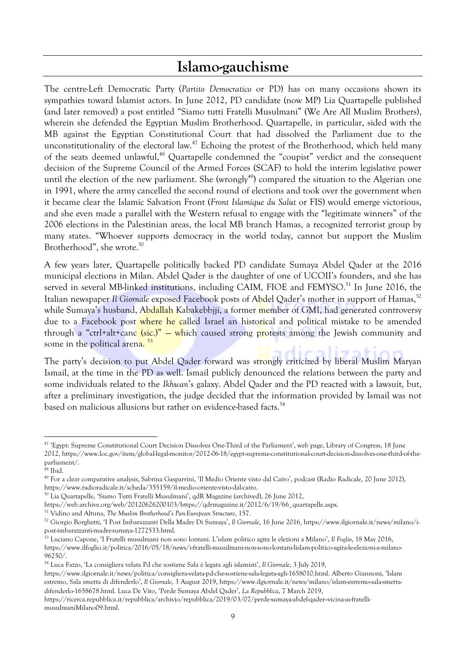### **Islamo-gauchisme**

The centre-Left Democratic Party (*Partito Democratico* or PD) has on many occasions shown its sympathies toward Islamist actors. In June 2012, PD candidate (now MP) Lia Quartapelle published (and later removed) a post entitled "Siamo tutti Fratelli Musulmani" (We Are All Muslim Brothers), wherein she defended the Egyptian Muslim Brotherhood. Quartapelle, in particular, sided with the MB against the Egyptian Constitutional Court that had dissolved the Parliament due to the unconstitutionality of the electoral law.<sup>47</sup> Echoing the protest of the Brotherhood, which held many of the seats deemed unlawful,<sup>48</sup> Quartapelle condemned the "coupist" verdict and the consequent decision of the Supreme Council of the Armed Forces (SCAF) to hold the interim legislative power until the election of the new parliament. She (wrongly<sup>49</sup>) compared the situation to the Algerian one in 1991, where the army cancelled the second round of elections and took over the government when it became clear the Islamic Salvation Front (*Front Islamique du Salut* or FIS) would emerge victorious, and she even made a parallel with the Western refusal to engage with the "legitimate winners" of the 2006 elections in the Palestinian areas, the local MB branch Hamas, a recognized terrorist group by many states. "Whoever supports democracy in the world today, cannot but support the Muslim Brotherhood", she wrote.<sup>50</sup>

A few years later, Quartapelle politically backed PD candidate Sumaya Abdel Qader at the 2016 municipal elections in Milan. Abdel Qader is the daughter of one of UCOII's founders, and she has served in several MB-linked institutions, including CAIM, FIOE and FEMYSO.<sup>51</sup> In June 2016, the Italian newspaper *Il Giornale* exposed Facebook posts of Abdel Qader's mother in support of Hamas,<sup>52</sup> while Sumaya's husband, Abdallah Kabakebbiji, a former member of GMI, had generated controversy due to a Facebook post where he called Israel an historical and political mistake to be amended through a "ctrl+alt+canc (sic.)" — which caused strong protests among the Jewish community and some in the political arena.<sup>53</sup>

The party's decision to put Abdel Qader forward was strongly criticized by liberal Muslim Maryan Ismail, at the time in the PD as well. Ismail publicly denounced the relations between the party and some individuals related to the *Ikhwan*'s galaxy. Abdel Qader and the PD reacted with a lawsuit, but, after a preliminary investigation, the judge decided that the information provided by Ismail was not based on malicious allusions but rather on evidence-based facts.<sup>54</sup>

https://www.ilgiornale.it/news/politica/consigliera-velata-pd-che-sostiene-sala-legata-agli-1658010.html. Alberto Giannoni, 'Islam estremo, Sala smetta di difenderlo', *Il Giornale*, 3 August 2019, https://www.ilgiornale.it/news/milano/islam-estremo-sala-smettadifenderlo-1658678.html. Luca De Vito, 'Perde Sumaya Abdel Qader', *La Repubblica*, 7 March 2019,

<sup>47</sup> 'Egypt: Supreme Constitutional Court Decision Dissolves One-Third of the Parliament', web page, Library of Congress, 18 June 2012, https://www.loc.gov/item/global-legal-monitor/2012-06-18/egypt-supreme-constitutional-court-decision-dissolves-one-third-of-theparliament/.

 $48$  Ibid.

<sup>49</sup> For a clear comparative analysis, Sabrina Gasparrini, 'Il Medio Oriente visto dal Cairo', podcast (Radio Radicale, 20 June 2012), https://www.radioradicale.it/scheda/355159/il-medio-oriente-visto-dal-cairo.

<sup>50</sup> Lia Quartapelle, 'Siamo Tutti Fratelli Musulmani', qdR Magazine (archived), 26 June 2012,

https://web.archive.org/web/20120626200103/https://qdrmagazine.it/2012/6/19/66\_quartapelle.aspx.

<sup>51</sup> Vidino and Altuna, *The Muslim Brotherhood's Pan-European Structure*, 157.

<sup>52</sup> Giorgio Borghetti, 'I Post Imbarazzanti Della Madre Di Sumaya', *Il Giornale*, 16 June 2016, https://www.ilgiornale.it/news/milano/ipost-imbarazzanti-madre-sumaya-1272533.html.

<sup>53</sup> Luciano Capone, 'I Fratelli musulmani non sono lontani. L'islam politico agita le elezioni a Milano', *Il Foglio*, 18 May 2016, https://www.ilfoglio.it/politica/2016/05/18/news/i-fratelli-musulmani-non-sono-lontani-lislam-politico-agita-le-elezioni-a-milano-96250/.

<sup>54</sup> Luca Fazzo, 'La consigliera velata Pd che sostiene Sala è legata agli islamisti', *Il Giornale*, 3 July 2019,

https://ricerca.repubblica.it/repubblica/archivio/repubblica/2019/03/07/perde-sumaya-abdel-qader--vicina-ai-fratellimusulmaniMilano09.html.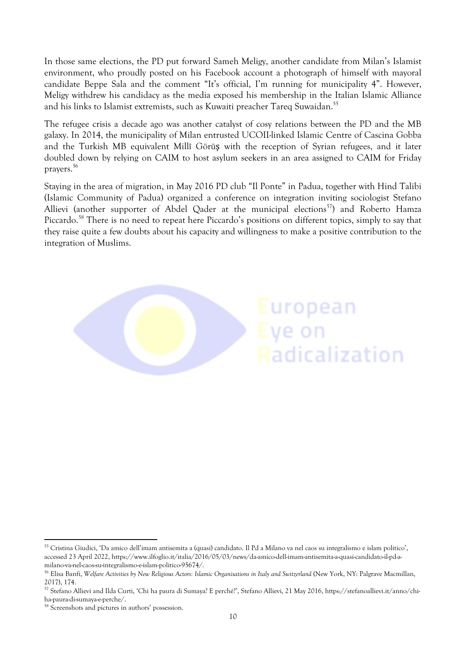In those same elections, the PD put forward Sameh Meligy, another candidate from Milan's Islamist environment, who proudly posted on his Facebook account a photograph of himself with mayoral candidate Beppe Sala and the comment "It's official, I'm running for municipality 4". However, Meligy withdrew his candidacy as the media exposed his membership in the Italian Islamic Alliance and his links to Islamist extremists, such as Kuwaiti preacher Tareq Suwaidan.<sup>55</sup>

The refugee crisis a decade ago was another catalyst of cosy relations between the PD and the MB galaxy. In 2014, the municipality of Milan entrusted UCOII-linked Islamic Centre of Cascina Gobba and the Turkish MB equivalent Millî Görüş with the reception of Syrian refugees, and it later doubled down by relying on CAIM to host asylum seekers in an area assigned to CAIM for Friday prayers. 56

Staying in the area of migration, in May 2016 PD club "Il Ponte" in Padua, together with Hind Talibi (Islamic Community of Padua) organized a conference on integration inviting sociologist Stefano Allievi (another supporter of Abdel Qader at the municipal elections<sup>57</sup>) and Roberto Hamza Piccardo.<sup>58</sup> There is no need to repeat here Piccardo's positions on different topics, simply to say that they raise quite a few doubts about his capacity and willingness to make a positive contribution to the integration of Muslims.



<sup>55</sup> Cristina Giudici, 'Da amico dell'imam antisemita a (quasi) candidato. Il Pd a Milano va nel caos su integralismo e islam politico', accessed 23 April 2022, https://www.ilfoglio.it/italia/2016/05/03/news/da-amico-dell-imam-antisemita-a-quasi-candidato-il-pd-amilano-va-nel-caos-su-integralismo-e-islam-politico-95674/.

<sup>&</sup>lt;sup>56</sup> Elisa Banfi, Welfare Activities by New Religious Actors: Islamic Organisations in Italy and Switzerland (New York, NY: Palgrave Macmillan, 2017), 174.

<sup>57</sup> Stefano Allievi and Ilda Curti, 'Chi ha paura di Sumaya? E perché?', Stefano Allievi, 21 May 2016, https://stefanoallievi.it/anno/chiha-paura-di-sumaya-e-perche/.

<sup>58</sup> Screenshots and pictures in authors' possession.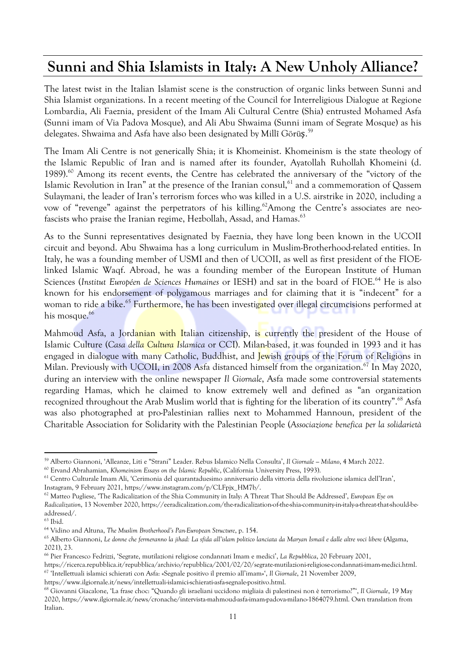# **Sunni and Shia Islamists in Italy: A New Unholy Alliance?**

The latest twist in the Italian Islamist scene is the construction of organic links between Sunni and Shia Islamist organizations. In a recent meeting of the Council for Interreligious Dialogue at Regione Lombardia, Ali Faeznia, president of the Imam Ali Cultural Centre (Shia) entrusted Mohamed Asfa (Sunni imam of Via Padova Mosque), and Ali Abu Shwaima (Sunni imam of Segrate Mosque) as his delegates. Shwaima and Asfa have also been designated by Millî Görü**ş**.<sup>59</sup>

The Imam Ali Centre is not generically Shia; it is Khomeinist. Khomeinism is the state theology of the Islamic Republic of Iran and is named after its founder, Ayatollah Ruhollah Khomeini (d. 1989). <sup>60</sup> Among its recent events, the Centre has celebrated the anniversary of the "victory of the Islamic Revolution in Iran" at the presence of the Iranian consul,<sup>61</sup> and a commemoration of Qassem Sulaymani, the leader of Iran's terrorism forces who was killed in a U.S. airstrike in 2020, including a vow of "revenge" against the perpetrators of his killing. <sup>62</sup>Among the Centre's associates are neofascists who praise the Iranian regime, Hezbollah, Assad, and Hamas.<sup>63</sup>

As to the Sunni representatives designated by Faeznia, they have long been known in the UCOII circuit and beyond. Abu Shwaima has a long curriculum in Muslim-Brotherhood-related entities. In Italy, he was a founding member of USMI and then of UCOII, as well as first president of the FIOElinked Islamic Waqf. Abroad, he was a founding member of the European Institute of Human Sciences (*Institut Européen de Sciences Humaines* or IESH) and sat in the board of FIOE. <sup>64</sup> He is also known for his endorsement of polygamous marriages and for claiming that it is "indecent" for a woman to ride a bike.<sup>65</sup> Furthermore, he has been investi<mark>gat</mark>ed over illegal circumcisions performed at his mosque.<sup>66</sup>

Mahmoud Asfa, a Jordanian with Italian citizenship, is currently the president of the House of Islamic Culture (*Casa della Cultura Islamica* or CCI). Milan-based, it was founded in 1993 and it has engaged in dialogue with many Catholic, Buddhist, and Jewish groups of the Forum of Religions in Milan. Previously with UCOII, in 2008 Asfa distanced himself from the organization.<sup>67</sup> In May 2020, during an interview with the online newspaper *Il Giornale*, Asfa made some controversial statements regarding Hamas, which he claimed to know extremely well and defined as "an organization recognized throughout the Arab Muslim world that is fighting for the liberation of its country".<sup>68</sup> Asfa was also photographed at pro-Palestinian rallies next to Mohammed Hannoun, president of the Charitable Association for Solidarity with the Palestinian People (*Associazione benefica per la solidarietà*

<sup>59</sup> Alberto Giannoni, 'Alleanze, Liti e "Strani" Leader. Rebus Islamico Nella Consulta', *Il Giornale — Milano*, 4 March 2022.

<sup>60</sup> Ervand Abrahamian, *Khomeinism Essays on the Islamic Republic*, (California University Press, 1993).

<sup>61</sup> Centro Culturale Imam Ali, 'Cerimonia del quarantaduesimo anniversario della vittoria della rivoluzione islamica dell'Iran',

Instagram, 9 February 2021, https://www.instagram.com/p/CLFpjx\_HM7b/.

<sup>62</sup> Matteo Pugliese, 'The Radicalization of the Shia Community in Italy: A Threat That Should Be Addressed', *European Eye on*

*Radicalization*, 13 November 2020, https://eeradicalization.com/the-radicalization-of-the-shia-community-in-italy-a-threat-that-should-beaddressed/.

<sup>63</sup> Ibid.

<sup>64</sup> Vidino and Altuna, *The Muslim Brotherhood's Pan-European Structure*, p. 154.

<sup>65</sup> Alberto Giannoni, Le donne che fermeranno la jihad: La sfida all'islam politico lanciata da Maryan Ismail e dalle altre voci libere (Algama, 2021), 23.

<sup>66</sup> Pier Francesco Fedrizzi, 'Segrate, mutilazioni religiose condannati Imam e medici', *La Repubblica*, 20 February 2001,

https://ricerca.repubblica.it/repubblica/archivio/repubblica/2001/02/20/segrate-mutilazioni-religiose-condannati-imam-medici.html. 67 'Intellettuali islamici schierati con Asfa: «Segnale positivo il premio all'imam»', *Il Giornale*, 21 November 2009,

https://www.ilgiornale.it/news/intellettuali-islamici-schierati-asfa-segnale-positivo.html.

<sup>68</sup> Giovanni Giacalone, 'La frase choc: "Quando gli israeliani uccidono migliaia di palestinesi non è terrorismo?"', *Il Giornale*, 19 May 2020, https://www.ilgiornale.it/news/cronache/intervista-mahmoud-asfa-imam-padova-milano-1864079.html. Own translation from Italian.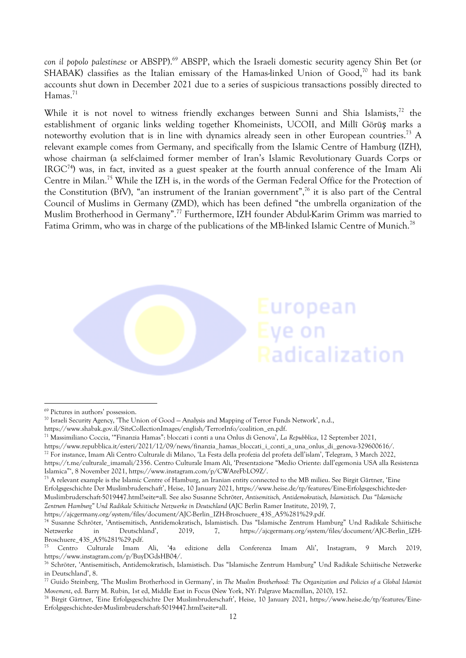*con il popolo palestinese* or ABSPP). <sup>69</sup> ABSPP, which the Israeli domestic security agency Shin Bet (or SHABAK) classifies as the Italian emissary of the Hamas-linked Union of Good,<sup>70</sup> had its bank accounts shut down in December 2021 due to a series of suspicious transactions possibly directed to Hamas. 71

While it is not novel to witness friendly exchanges between Sunni and Shia Islamists,<sup>72</sup> the establishment of organic links welding together Khomeinists, UCOII, and Millî Görüş marks a noteworthy evolution that is in line with dynamics already seen in other European countries.<sup>73</sup> A relevant example comes from Germany, and specifically from the Islamic Centre of Hamburg (IZH), whose chairman (a self-claimed former member of Iran's Islamic Revolutionary Guards Corps or IRGC<sup>74</sup>) was, in fact, invited as a guest speaker at the fourth annual conference of the Imam Ali Centre in Milan.<sup>75</sup> While the IZH is, in the words of the German Federal Office for the Protection of the Constitution (BfV), "an instrument of the Iranian government", <sup>76</sup> it is also part of the Central Council of Muslims in Germany (ZMD), which has been defined "the umbrella organization of the Muslim Brotherhood in Germany".<sup>77</sup> Furthermore, IZH founder Abdul-Karim Grimm was married to Fatima Grimm, who was in charge of the publications of the MB-linked Islamic Centre of Munich.<sup>78</sup>

uropean

Radicalization

ve on

<sup>69</sup> Pictures in authors' possession.

<sup>70</sup> Israeli Security Agency, 'The Union of Good — Analysis and Mapping of Terror Funds Network', n.d.,

https://www.shabak.gov.il/SiteCollectionImages/english/TerrorInfo/coalition\_en.pdf.

<sup>71</sup> Massimiliano Coccia, '"Finanzia Hamas": bloccati i conti a una Onlus di Genova', *La Repubblica*, 12 September 2021,

https://www.repubblica.it/esteri/2021/12/09/news/finanzia\_hamas\_bloccati\_i\_conti\_a\_una\_onlus\_di\_genova-329600616/.

<sup>72</sup> For instance, Imam Ali Centro Culturale di Milano, 'La Festa della profezia del profeta dell'islam', Telegram, 3 March 2022,

https://t.me/culturale\_imamali/2356. Centro Culturale Imam Ali, 'Presentazione "Medio Oriente: dall'egemonia USA alla Resistenza Islamica"', 8 November 2021, https://www.instagram.com/p/CWAreFbLO9Z/.

<sup>&</sup>lt;sup>73</sup> A relevant example is the Islamic Centre of Hamburg, an Iranian entity connected to the MB milieu. See Birgit Gärtner, 'Eine Erfolgsgeschichte Der Muslimbruderschaft', Heise, 10 January 2021, https://www.heise.de/tp/features/Eine-Erfolgsgeschichte-der-Muslimbruderschaft-5019447.html?seite=all. See also Susanne Schröter, *Antisemitisch, Antidemokratisch, Islamistisch. Das "Islamische Zentrum Hamburg" Und Radikale Schiitische Netzwerke in Deutschland* (AJC Berlin Ramer Institute, 2019), 7,

https://ajcgermany.org/system/files/document/AJC-Berlin\_IZH-Broschuere\_43S\_A5%281%29.pdf.

<sup>74</sup> Susanne Schröter, 'Antisemitisch, Antidemokratisch, Islamistisch. Das "Islamische Zentrum Hamburg" Und Radikale Schiitische Netzwerke in Deutschland', 2019, 7, https://ajcgermany.org/system/files/document/AJC-Berlin\_IZH-Broschuere\_43S\_A5%281%29.pdf.

<sup>75</sup> Centro Culturale Imam Ali, '4a edizione della Conferenza Imam Ali', Instagram, 9 March 2019, https://www.instagram.com/p/BuyDGdsHB04/.

<sup>76</sup> Schröter, 'Antisemitisch, Antidemokratisch, Islamistisch. Das "Islamische Zentrum Hamburg" Und Radikale Schiitische Netzwerke in Deutschland', 8.

<sup>77</sup> Guido Steinberg, 'The Muslim Brotherhood in Germany', in *The Muslim Brotherhood: The Organization and Policies of a Global Islamist Movement*, ed. Barry M. Rubin, 1st ed, Middle East in Focus (New York, NY: Palgrave Macmillan, 2010), 152.

<sup>78</sup> Birgit Gärtner, 'Eine Erfolgsgeschichte Der Muslimbruderschaft', Heise, 10 January 2021, https://www.heise.de/tp/features/Eine-Erfolgsgeschichte-der-Muslimbruderschaft-5019447.html?seite=all.